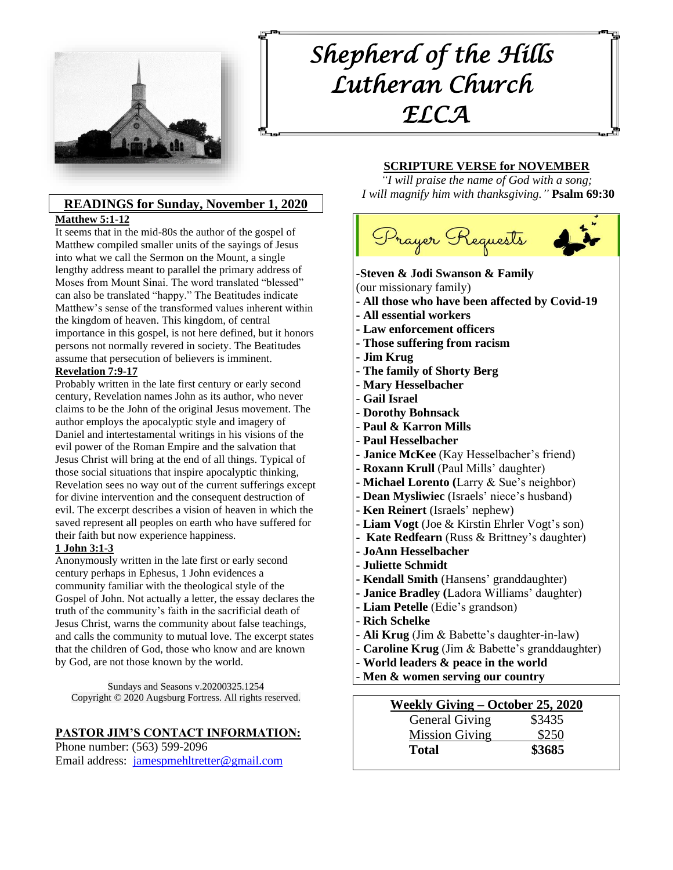

# *Shepherd of the Hills Lutheran Church ELCA*

# **READINGS for Sunday, November 1, 2020**

#### **Matthew 5:1-12**

It seems that in the mid-80s the author of the gospel of Matthew compiled smaller units of the sayings of Jesus into what we call the Sermon on the Mount, a single lengthy address meant to parallel the primary address of Moses from Mount Sinai. The word translated "blessed" can also be translated "happy." The Beatitudes indicate Matthew's sense of the transformed values inherent within the kingdom of heaven. This kingdom, of central importance in this gospel, is not here defined, but it honors persons not normally revered in society. The Beatitudes assume that persecution of believers is imminent.

#### **Revelation 7:9-17**

Probably written in the late first century or early second century, Revelation names John as its author, who never claims to be the John of the original Jesus movement. The author employs the apocalyptic style and imagery of Daniel and intertestamental writings in his visions of the evil power of the Roman Empire and the salvation that Jesus Christ will bring at the end of all things. Typical of those social situations that inspire apocalyptic thinking, Revelation sees no way out of the current sufferings except for divine intervention and the consequent destruction of evil. The excerpt describes a vision of heaven in which the saved represent all peoples on earth who have suffered for their faith but now experience happiness.

#### **1 John 3:1-3**

Anonymously written in the late first or early second century perhaps in Ephesus, 1 John evidences a community familiar with the theological style of the Gospel of John. Not actually a letter, the essay declares the truth of the community's faith in the sacrificial death of Jesus Christ, warns the community about false teachings, and calls the community to mutual love. The excerpt states that the children of God, those who know and are known by God, are not those known by the world.

Sundays and Seasons v.20200325.1254 Copyright © 2020 Augsburg Fortress. All rights reserved.

## **PASTOR JIM'S CONTACT INFORMATION:**

Phone number: (563) 599-2096 Email address: [jamespmehltretter@gmail.com](mailto:jamespmehltretter@gmail.com)

#### **SCRIPTURE VERSE for NOVEMBER**

*"I will praise the name of God with a song; I will magnify him with thanksgiving."* **Psalm 69:30**



#### **-Steven & Jodi Swanson & Family** (our missionary family)

- **All those who have been affected by Covid-19**
- **- All essential workers**
- 
- **- Law enforcement officers**
- **- Those suffering from racism**
- **- Jim Krug**
- **- The family of Shorty Berg**
- **- Mary Hesselbacher**
- **- Gail Israel**
- **- Dorothy Bohnsack**
- **Paul & Karron Mills**
- **- Paul Hesselbacher**
- **- Janice McKee** (Kay Hesselbacher's friend)
- **- Roxann Krull** (Paul Mills' daughter)
- **Michael Lorento (**Larry & Sue's neighbor)
- **Dean Mysliwiec** (Israels' niece's husband)
- **Ken Reinert** (Israels' nephew)
- **Liam Vogt** (Joe & Kirstin Ehrler Vogt's son)
- **Kate Redfearn** (Russ & Brittney's daughter)
- **JoAnn Hesselbacher**
- **Juliette Schmidt**
- **- Kendall Smith** (Hansens' granddaughter)
- **- Janice Bradley (**Ladora Williams' daughter)
- **- Liam Petelle** (Edie's grandson)
- **Rich Schelke**
- **- Ali Krug** (Jim & Babette's daughter-in-law)
- **- Caroline Krug** (Jim & Babette's granddaughter)
- **- World leaders & peace in the world**
- **Men & women serving our country**

**Weekly Giving – October 25, 2020** General Giving \$3435 Mission Giving \$250 **Total \$3685**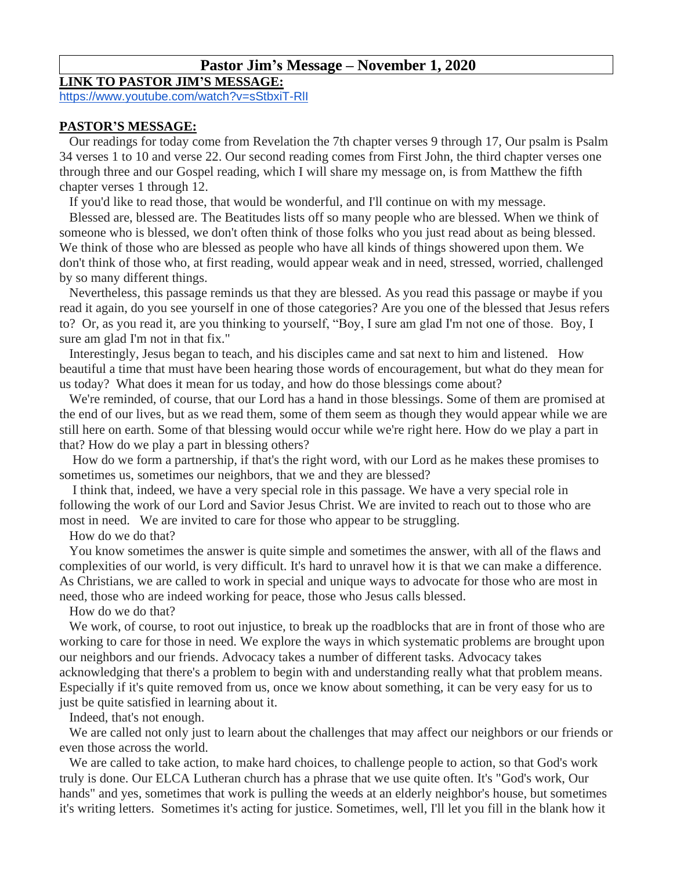# **Pastor Jim's Message – November 1, 2020**

#### **LINK TO PASTOR JIM'S MESSAGE:**

<https://www.youtube.com/watch?v=sStbxiT-RlI>

#### **PASTOR'S MESSAGE:**

Our readings for today come from Revelation the 7th chapter verses 9 through 17, Our psalm is Psalm 34 verses 1 to 10 and verse 22. Our second reading comes from First John, the third chapter verses one through three and our Gospel reading, which I will share my message on, is from Matthew the fifth chapter verses 1 through 12.

If you'd like to read those, that would be wonderful, and I'll continue on with my message.

Blessed are, blessed are. The Beatitudes lists off so many people who are blessed. When we think of someone who is blessed, we don't often think of those folks who you just read about as being blessed. We think of those who are blessed as people who have all kinds of things showered upon them. We don't think of those who, at first reading, would appear weak and in need, stressed, worried, challenged by so many different things.

Nevertheless, this passage reminds us that they are blessed. As you read this passage or maybe if you read it again, do you see yourself in one of those categories? Are you one of the blessed that Jesus refers to? Or, as you read it, are you thinking to yourself, "Boy, I sure am glad I'm not one of those. Boy, I sure am glad I'm not in that fix."

Interestingly, Jesus began to teach, and his disciples came and sat next to him and listened. How beautiful a time that must have been hearing those words of encouragement, but what do they mean for us today? What does it mean for us today, and how do those blessings come about?

We're reminded, of course, that our Lord has a hand in those blessings. Some of them are promised at the end of our lives, but as we read them, some of them seem as though they would appear while we are still here on earth. Some of that blessing would occur while we're right here. How do we play a part in that? How do we play a part in blessing others?

How do we form a partnership, if that's the right word, with our Lord as he makes these promises to sometimes us, sometimes our neighbors, that we and they are blessed?

I think that, indeed, we have a very special role in this passage. We have a very special role in following the work of our Lord and Savior Jesus Christ. We are invited to reach out to those who are most in need. We are invited to care for those who appear to be struggling.

How do we do that?

You know sometimes the answer is quite simple and sometimes the answer, with all of the flaws and complexities of our world, is very difficult. It's hard to unravel how it is that we can make a difference. As Christians, we are called to work in special and unique ways to advocate for those who are most in need, those who are indeed working for peace, those who Jesus calls blessed.

How do we do that?

We work, of course, to root out injustice, to break up the roadblocks that are in front of those who are working to care for those in need. We explore the ways in which systematic problems are brought upon our neighbors and our friends. Advocacy takes a number of different tasks. Advocacy takes acknowledging that there's a problem to begin with and understanding really what that problem means. Especially if it's quite removed from us, once we know about something, it can be very easy for us to just be quite satisfied in learning about it.

Indeed, that's not enough.

We are called not only just to learn about the challenges that may affect our neighbors or our friends or even those across the world.

We are called to take action, to make hard choices, to challenge people to action, so that God's work truly is done. Our ELCA Lutheran church has a phrase that we use quite often. It's "God's work, Our hands" and yes, sometimes that work is pulling the weeds at an elderly neighbor's house, but sometimes it's writing letters. Sometimes it's acting for justice. Sometimes, well, I'll let you fill in the blank how it